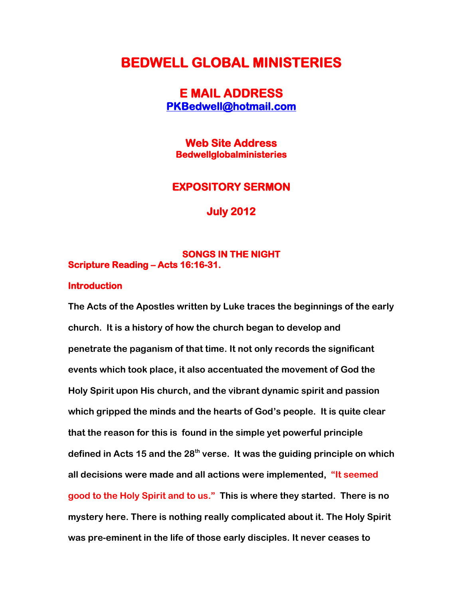# **BEDWELL GLOBAL MINISTERIES**

## **E MAIL ADDRESS [PKBedwell@hotmail.com](mailto:PKBedwell@hotmail.com)**

**Web Site Address Bedwellglobalministeries** 

### **EXPOSITORY SERMON**

**July 2012** 

### **SONGS IN THE NIGHT Scripture Reading – Acts 16:16-31.**

#### **Introduction**

**The Acts of the Apostles written by Luke traces the beginnings of the early church. It is a history of how the church began to develop and penetrate the paganism of that time. It not only records the significant events which took place, it also accentuated the movement of God the Holy Spirit upon His church, and the vibrant dynamic spirit and passion which gripped the minds and the hearts of God's people. It is quite clear that the reason for this is found in the simple yet powerful principle defined in Acts 15 and the 28th verse. It was the guiding principle on which all decisions were made and all actions were implemented, "It seemed good to the Holy Spirit and to us." This is where they started. There is no mystery here. There is nothing really complicated about it. The Holy Spirit was pre-eminent in the life of those early disciples. It never ceases to**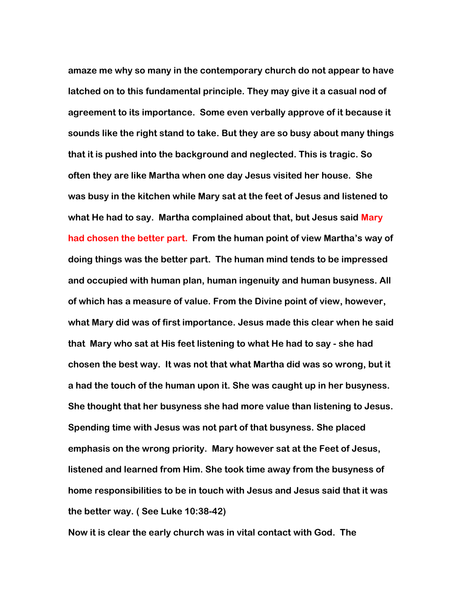**amaze me why so many in the contemporary church do not appear to have latched on to this fundamental principle. They may give it a casual nod of agreement to its importance. Some even verbally approve of it because it sounds like the right stand to take. But they are so busy about many things that it is pushed into the background and neglected. This is tragic. So often they are like Martha when one day Jesus visited her house. She was busy in the kitchen while Mary sat at the feet of Jesus and listened to what He had to say. Martha complained about that, but Jesus said Mary had chosen the better part. From the human point of view Martha's way of doing things was the better part. The human mind tends to be impressed and occupied with human plan, human ingenuity and human busyness. All of which has a measure of value. From the Divine point of view, however, what Mary did was of first importance. Jesus made this clear when he said that Mary who sat at His feet listening to what He had to say - she had chosen the best way. It was not that what Martha did was so wrong, but it a had the touch of the human upon it. She was caught up in her busyness. She thought that her busyness she had more value than listening to Jesus. Spending time with Jesus was not part of that busyness. She placed emphasis on the wrong priority. Mary however sat at the Feet of Jesus, listened and learned from Him. She took time away from the busyness of home responsibilities to be in touch with Jesus and Jesus said that it was the better way. ( See Luke 10:38-42)**

**Now it is clear the early church was in vital contact with God. The**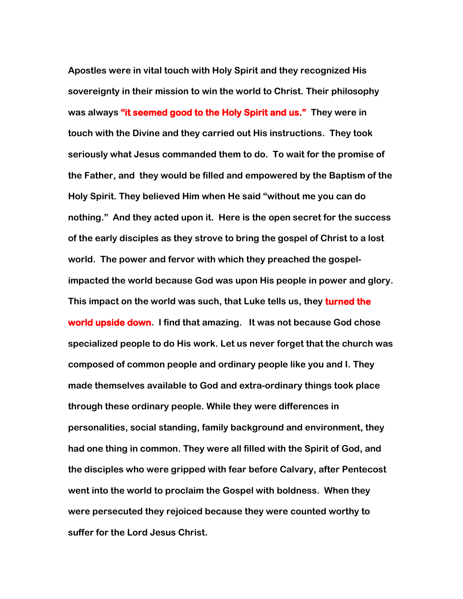**Apostles were in vital touch with Holy Spirit and they recognized His sovereignty in their mission to win the world to Christ. Their philosophy was always "it seemed good to the Holy Spirit and us." They were in touch with the Divine and they carried out His instructions. They took seriously what Jesus commanded them to do. To wait for the promise of the Father, and they would be filled and empowered by the Baptism of the Holy Spirit. They believed Him when He said "without me you can do nothing." And they acted upon it. Here is the open secret for the success of the early disciples as they strove to bring the gospel of Christ to a lost world. The power and fervor with which they preached the gospelimpacted the world because God was upon His people in power and glory. This impact on the world was such, that Luke tells us, they turned the world upside down. I find that amazing. It was not because God chose specialized people to do His work. Let us never forget that the church was composed of common people and ordinary people like you and I. They made themselves available to God and extra-ordinary things took place through these ordinary people. While they were differences in personalities, social standing, family background and environment, they had one thing in common. They were all filled with the Spirit of God, and the disciples who were gripped with fear before Calvary, after Pentecost went into the world to proclaim the Gospel with boldness. When they were persecuted they rejoiced because they were counted worthy to suffer for the Lord Jesus Christ.**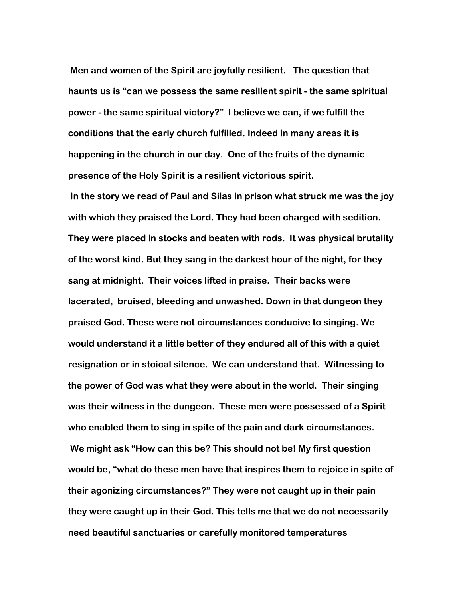**Men and women of the Spirit are joyfully resilient. The question that haunts us is "can we possess the same resilient spirit - the same spiritual power - the same spiritual victory?" I believe we can, if we fulfill the conditions that the early church fulfilled. Indeed in many areas it is happening in the church in our day. One of the fruits of the dynamic presence of the Holy Spirit is a resilient victorious spirit.**

**In the story we read of Paul and Silas in prison what struck me was the joy with which they praised the Lord. They had been charged with sedition. They were placed in stocks and beaten with rods. It was physical brutality of the worst kind. But they sang in the darkest hour of the night, for they sang at midnight. Their voices lifted in praise. Their backs were lacerated, bruised, bleeding and unwashed. Down in that dungeon they praised God. These were not circumstances conducive to singing. We would understand it a little better of they endured all of this with a quiet resignation or in stoical silence. We can understand that. Witnessing to the power of God was what they were about in the world. Their singing was their witness in the dungeon. These men were possessed of a Spirit who enabled them to sing in spite of the pain and dark circumstances. We might ask "How can this be? This should not be! My first question would be, "what do these men have that inspires them to rejoice in spite of their agonizing circumstances?" They were not caught up in their pain they were caught up in their God. This tells me that we do not necessarily need beautiful sanctuaries or carefully monitored temperatures**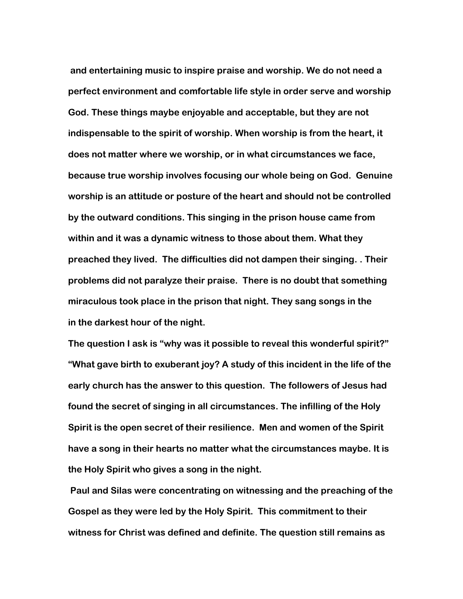**and entertaining music to inspire praise and worship. We do not need a perfect environment and comfortable life style in order serve and worship God. These things maybe enjoyable and acceptable, but they are not indispensable to the spirit of worship. When worship is from the heart, it does not matter where we worship, or in what circumstances we face, because true worship involves focusing our whole being on God. Genuine worship is an attitude or posture of the heart and should not be controlled by the outward conditions. This singing in the prison house came from within and it was a dynamic witness to those about them. What they preached they lived. The difficulties did not dampen their singing. . Their problems did not paralyze their praise. There is no doubt that something miraculous took place in the prison that night. They sang songs in the in the darkest hour of the night.**

**The question I ask is "why was it possible to reveal this wonderful spirit?" "What gave birth to exuberant joy? A study of this incident in the life of the early church has the answer to this question. The followers of Jesus had found the secret of singing in all circumstances. The infilling of the Holy Spirit is the open secret of their resilience. Men and women of the Spirit have a song in their hearts no matter what the circumstances maybe. It is the Holy Spirit who gives a song in the night.** 

**Paul and Silas were concentrating on witnessing and the preaching of the Gospel as they were led by the Holy Spirit. This commitment to their witness for Christ was defined and definite. The question still remains as**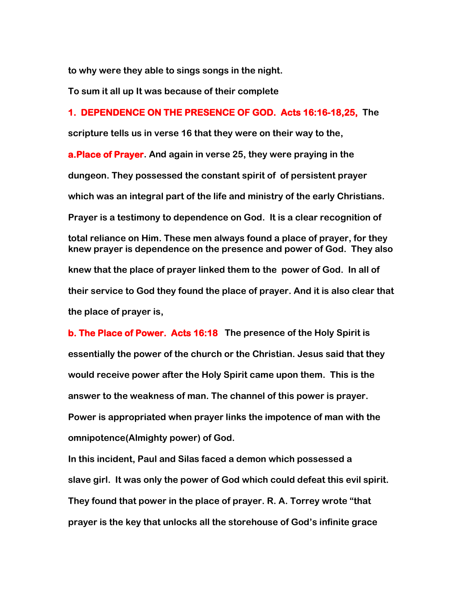**to why were they able to sings songs in the night.** 

**To sum it all up It was because of their complete**

### **1. DEPENDENCE ON THE PRESENCE OF GOD. Acts 16:16-18,25, The**

**scripture tells us in verse 16 that they were on their way to the,**

**a.Place of Prayer. And again in verse 25, they were praying in the dungeon. They possessed the constant spirit of of persistent prayer which was an integral part of the life and ministry of the early Christians. Prayer is a testimony to dependence on God. It is a clear recognition of total reliance on Him. These men always found a place of prayer, for they knew prayer is dependence on the presence and power of God. They also knew that the place of prayer linked them to the power of God. In all of their service to God they found the place of prayer. And it is also clear that the place of prayer is,**

**b. The Place of Power. Acts 16:18 The presence of the Holy Spirit is essentially the power of the church or the Christian. Jesus said that they would receive power after the Holy Spirit came upon them. This is the answer to the weakness of man. The channel of this power is prayer. Power is appropriated when prayer links the impotence of man with the omnipotence(Almighty power) of God.**

**In this incident, Paul and Silas faced a demon which possessed a slave girl. It was only the power of God which could defeat this evil spirit. They found that power in the place of prayer. R. A. Torrey wrote "that prayer is the key that unlocks all the storehouse of God's infinite grace**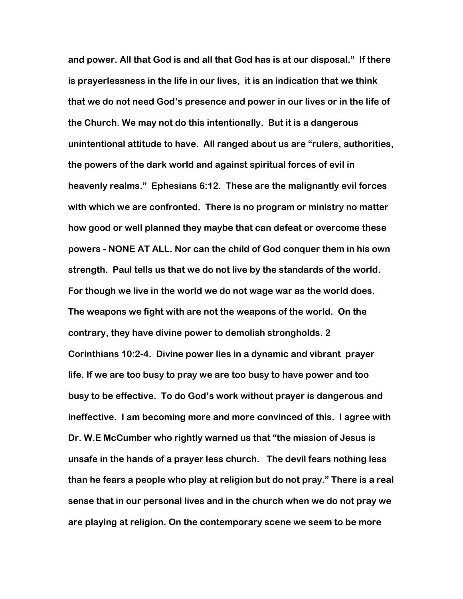**and power. All that God is and all that God has is at our disposal." If there is prayerlessness in the life in our lives, it is an indication that we think that we do not need God's presence and power in our lives or in the life of the Church. We may not do this intentionally. But it is a dangerous unintentional attitude to have. All ranged about us are "rulers, authorities, the powers of the dark world and against spiritual forces of evil in heavenly realms." Ephesians 6:12. These are the malignantly evil forces with which we are confronted. There is no program or ministry no matter how good or well planned they maybe that can defeat or overcome these powers - NONE AT ALL. Nor can the child of God conquer them in his own strength. Paul tells us that we do not live by the standards of the world. For though we live in the world we do not wage war as the world does. The weapons we fight with are not the weapons of the world. On the contrary, they have divine power to demolish strongholds. 2 Corinthians 10:2-4. Divine power lies in a dynamic and vibrant prayer life. If we are too busy to pray we are too busy to have power and too busy to be effective. To do God's work without prayer is dangerous and ineffective. I am becoming more and more convinced of this. I agree with Dr. W.E McCumber who rightly warned us that "the mission of Jesus is unsafe in the hands of a prayer less church. The devil fears nothing less than he fears a people who play at religion but do not pray." There is a real sense that in our personal lives and in the church when we do not pray we are playing at religion. On the contemporary scene we seem to be more**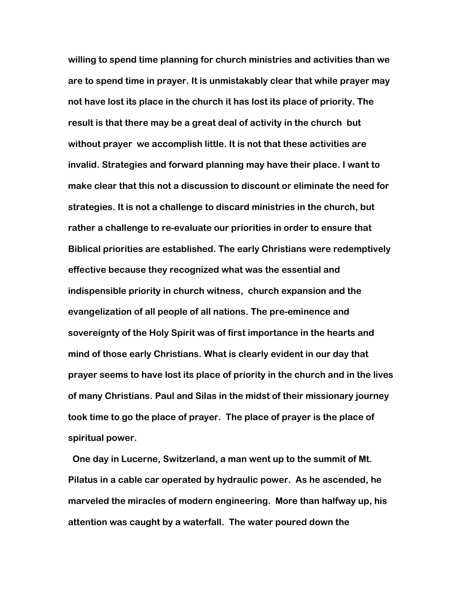**willing to spend time planning for church ministries and activities than we are to spend time in prayer. It is unmistakably clear that while prayer may not have lost its place in the church it has lost its place of priority. The result is that there may be a great deal of activity in the church but without prayer we accomplish little. It is not that these activities are invalid. Strategies and forward planning may have their place. I want to make clear that this not a discussion to discount or eliminate the need for strategies. It is not a challenge to discard ministries in the church, but rather a challenge to re-evaluate our priorities in order to ensure that Biblical priorities are established. The early Christians were redemptively effective because they recognized what was the essential and indispensible priority in church witness, church expansion and the evangelization of all people of all nations. The pre-eminence and sovereignty of the Holy Spirit was of first importance in the hearts and mind of those early Christians. What is clearly evident in our day that prayer seems to have lost its place of priority in the church and in the lives of many Christians. Paul and Silas in the midst of their missionary journey took time to go the place of prayer. The place of prayer is the place of spiritual power.** 

 **One day in Lucerne, Switzerland, a man went up to the summit of Mt. Pilatus in a cable car operated by hydraulic power. As he ascended, he marveled the miracles of modern engineering. More than halfway up, his attention was caught by a waterfall. The water poured down the**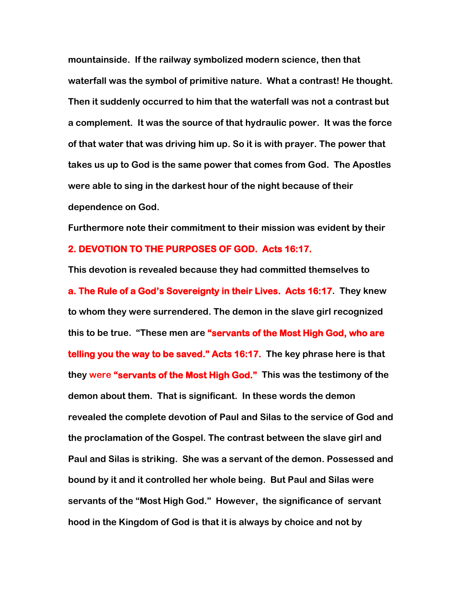**mountainside. If the railway symbolized modern science, then that waterfall was the symbol of primitive nature. What a contrast! He thought. Then it suddenly occurred to him that the waterfall was not a contrast but a complement. It was the source of that hydraulic power. It was the force of that water that was driving him up. So it is with prayer. The power that takes us up to God is the same power that comes from God. The Apostles were able to sing in the darkest hour of the night because of their dependence on God.** 

**Furthermore note their commitment to their mission was evident by their**

### **2. DEVOTION TO THE PURPOSES OF GOD. Acts 16:17.**

**This devotion is revealed because they had committed themselves to a. The Rule of a God's Sovereignty in their Lives. Acts 16:17. They knew to whom they were surrendered. The demon in the slave girl recognized this to be true. "These men are "servants of the Most High God, who are telling you the way to be saved." Acts 16:17. The key phrase here is that they were "servants of the Most High God." This was the testimony of the demon about them. That is significant. In these words the demon revealed the complete devotion of Paul and Silas to the service of God and the proclamation of the Gospel. The contrast between the slave girl and Paul and Silas is striking. She was a servant of the demon. Possessed and bound by it and it controlled her whole being. But Paul and Silas were servants of the "Most High God." However, the significance of servant hood in the Kingdom of God is that it is always by choice and not by**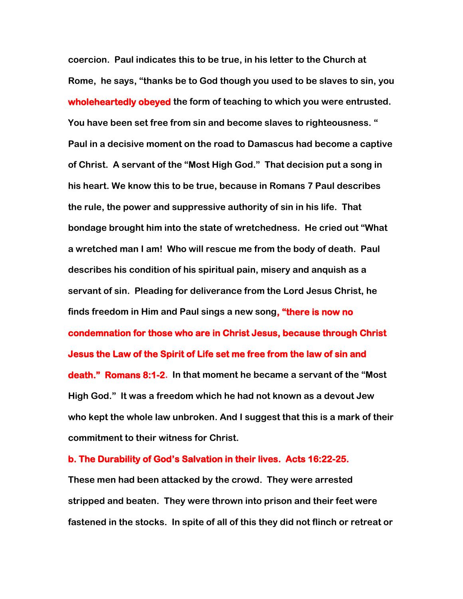**coercion. Paul indicates this to be true, in his letter to the Church at Rome, he says, "thanks be to God though you used to be slaves to sin, you wholeheartedly obeyed the form of teaching to which you were entrusted. You have been set free from sin and become slaves to righteousness. " Paul in a decisive moment on the road to Damascus had become a captive of Christ. A servant of the "Most High God." That decision put a song in his heart. We know this to be true, because in Romans 7 Paul describes the rule, the power and suppressive authority of sin in his life. That bondage brought him into the state of wretchedness. He cried out "What a wretched man I am! Who will rescue me from the body of death. Paul describes his condition of his spiritual pain, misery and anquish as a servant of sin. Pleading for deliverance from the Lord Jesus Christ, he finds freedom in Him and Paul sings a new song, "there is now no condemnation for those who are in Christ Jesus, because through Christ Jesus the Law of the Spirit of Life set me free from the law of sin and death." Romans 8:1-2. In that moment he became a servant of the "Most High God." It was a freedom which he had not known as a devout Jew who kept the whole law unbroken. And I suggest that this is a mark of their commitment to their witness for Christ.** 

#### **b. The Durability of God's Salvation in their lives. Acts 16:22-25.**

**These men had been attacked by the crowd. They were arrested stripped and beaten. They were thrown into prison and their feet were fastened in the stocks. In spite of all of this they did not flinch or retreat or**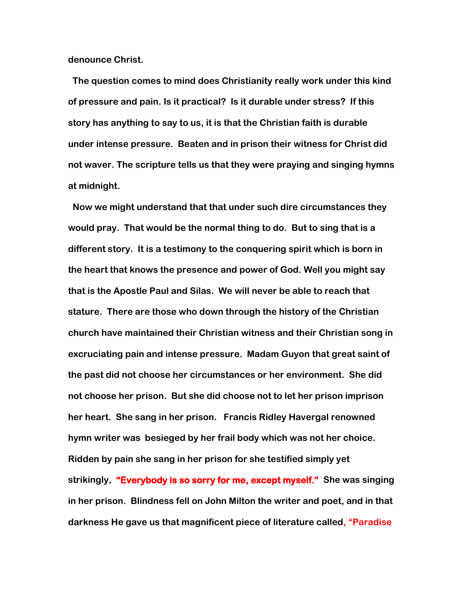**denounce Christ.** 

 **The question comes to mind does Christianity really work under this kind of pressure and pain. Is it practical? Is it durable under stress? If this story has anything to say to us, it is that the Christian faith is durable under intense pressure. Beaten and in prison their witness for Christ did not waver. The scripture tells us that they were praying and singing hymns at midnight.** 

 **Now we might understand that that under such dire circumstances they would pray. That would be the normal thing to do. But to sing that is a different story. It is a testimony to the conquering spirit which is born in the heart that knows the presence and power of God. Well you might say that is the Apostle Paul and Silas. We will never be able to reach that stature. There are those who down through the history of the Christian church have maintained their Christian witness and their Christian song in excruciating pain and intense pressure. Madam Guyon that great saint of the past did not choose her circumstances or her environment. She did not choose her prison. But she did choose not to let her prison imprison her heart. She sang in her prison. Francis Ridley Havergal renowned hymn writer was besieged by her frail body which was not her choice. Ridden by pain she sang in her prison for she testified simply yet strikingly. "Everybody is so sorry for me, except myself." She was singing in her prison. Blindness fell on John Milton the writer and poet, and in that darkness He gave us that magnificent piece of literature called, "Paradise**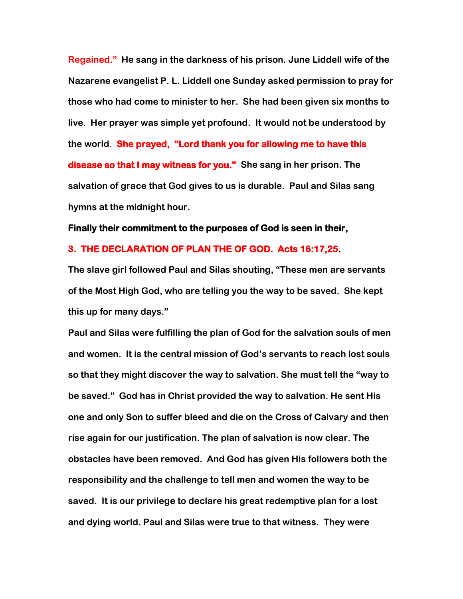**Regained." He sang in the darkness of his prison. June Liddell wife of the Nazarene evangelist P. L. Liddell one Sunday asked permission to pray for those who had come to minister to her. She had been given six months to live. Her prayer was simple yet profound. It would not be understood by the world. She prayed, "Lord thank you for allowing me to have this disease so that I may witness for you." She sang in her prison. The salvation of grace that God gives to us is durable. Paul and Silas sang hymns at the midnight hour.** 

#### **Finally their commitment to the purposes of God is seen in their,**

### **3. THE DECLARATION OF PLAN THE OF GOD. Acts 16:17,25.**

**The slave girl followed Paul and Silas shouting, "These men are servants of the Most High God, who are telling you the way to be saved. She kept this up for many days."** 

**Paul and Silas were fulfilling the plan of God for the salvation souls of men and women. It is the central mission of God's servants to reach lost souls so that they might discover the way to salvation. She must tell the "way to be saved." God has in Christ provided the way to salvation. He sent His one and only Son to suffer bleed and die on the Cross of Calvary and then rise again for our justification. The plan of salvation is now clear. The obstacles have been removed. And God has given His followers both the responsibility and the challenge to tell men and women the way to be saved. It is our privilege to declare his great redemptive plan for a lost and dying world. Paul and Silas were true to that witness. They were**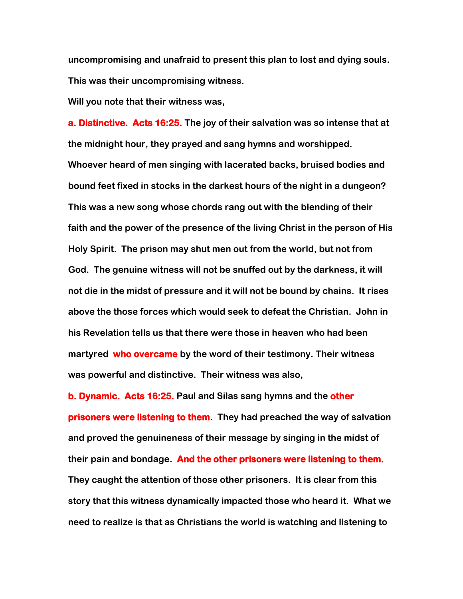**uncompromising and unafraid to present this plan to lost and dying souls. This was their uncompromising witness.** 

**Will you note that their witness was,**

**a. Distinctive. Acts 16:25. The joy of their salvation was so intense that at the midnight hour, they prayed and sang hymns and worshipped. Whoever heard of men singing with lacerated backs, bruised bodies and bound feet fixed in stocks in the darkest hours of the night in a dungeon? This was a new song whose chords rang out with the blending of their faith and the power of the presence of the living Christ in the person of His Holy Spirit. The prison may shut men out from the world, but not from God. The genuine witness will not be snuffed out by the darkness, it will not die in the midst of pressure and it will not be bound by chains. It rises above the those forces which would seek to defeat the Christian. John in his Revelation tells us that there were those in heaven who had been martyred who overcame by the word of their testimony. Their witness was powerful and distinctive. Their witness was also,**

**b. Dynamic. Acts 16:25. Paul and Silas sang hymns and the other prisoners were listening to them. They had preached the way of salvation and proved the genuineness of their message by singing in the midst of their pain and bondage. And the other prisoners were listening to them. They caught the attention of those other prisoners. It is clear from this story that this witness dynamically impacted those who heard it. What we need to realize is that as Christians the world is watching and listening to**